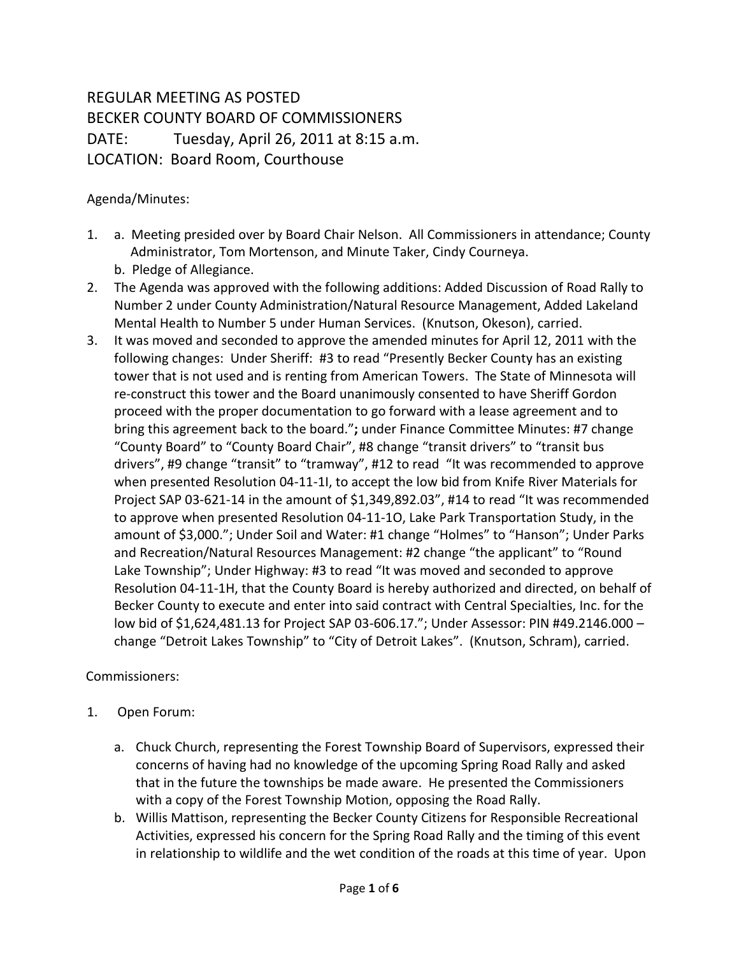## REGULAR MEETING AS POSTED BECKER COUNTY BOARD OF COMMISSIONERS DATE: Tuesday, April 26, 2011 at 8:15 a.m. LOCATION: Board Room, Courthouse

Agenda/Minutes:

- 1. a. Meeting presided over by Board Chair Nelson. All Commissioners in attendance; County Administrator, Tom Mortenson, and Minute Taker, Cindy Courneya.
	- b. Pledge of Allegiance.
- 2. The Agenda was approved with the following additions: Added Discussion of Road Rally to Number 2 under County Administration/Natural Resource Management, Added Lakeland Mental Health to Number 5 under Human Services. (Knutson, Okeson), carried.
- 3. It was moved and seconded to approve the amended minutes for April 12, 2011 with the following changes: Under Sheriff: #3 to read "Presently Becker County has an existing tower that is not used and is renting from American Towers. The State of Minnesota will re-construct this tower and the Board unanimously consented to have Sheriff Gordon proceed with the proper documentation to go forward with a lease agreement and to bring this agreement back to the board."**;** under Finance Committee Minutes: #7 change "County Board" to "County Board Chair", #8 change "transit drivers" to "transit bus drivers", #9 change "transit" to "tramway", #12 to read "It was recommended to approve when presented Resolution 04-11-1I, to accept the low bid from Knife River Materials for Project SAP 03-621-14 in the amount of \$1,349,892.03", #14 to read "It was recommended to approve when presented Resolution 04-11-1O, Lake Park Transportation Study, in the amount of \$3,000."; Under Soil and Water: #1 change "Holmes" to "Hanson"; Under Parks and Recreation/Natural Resources Management: #2 change "the applicant" to "Round Lake Township"; Under Highway: #3 to read "It was moved and seconded to approve Resolution 04-11-1H, that the County Board is hereby authorized and directed, on behalf of Becker County to execute and enter into said contract with Central Specialties, Inc. for the low bid of \$1,624,481.13 for Project SAP 03-606.17."; Under Assessor: PIN #49.2146.000 – change "Detroit Lakes Township" to "City of Detroit Lakes". (Knutson, Schram), carried.

Commissioners:

- 1. Open Forum:
	- a. Chuck Church, representing the Forest Township Board of Supervisors, expressed their concerns of having had no knowledge of the upcoming Spring Road Rally and asked that in the future the townships be made aware. He presented the Commissioners with a copy of the Forest Township Motion, opposing the Road Rally.
	- b. Willis Mattison, representing the Becker County Citizens for Responsible Recreational Activities, expressed his concern for the Spring Road Rally and the timing of this event in relationship to wildlife and the wet condition of the roads at this time of year. Upon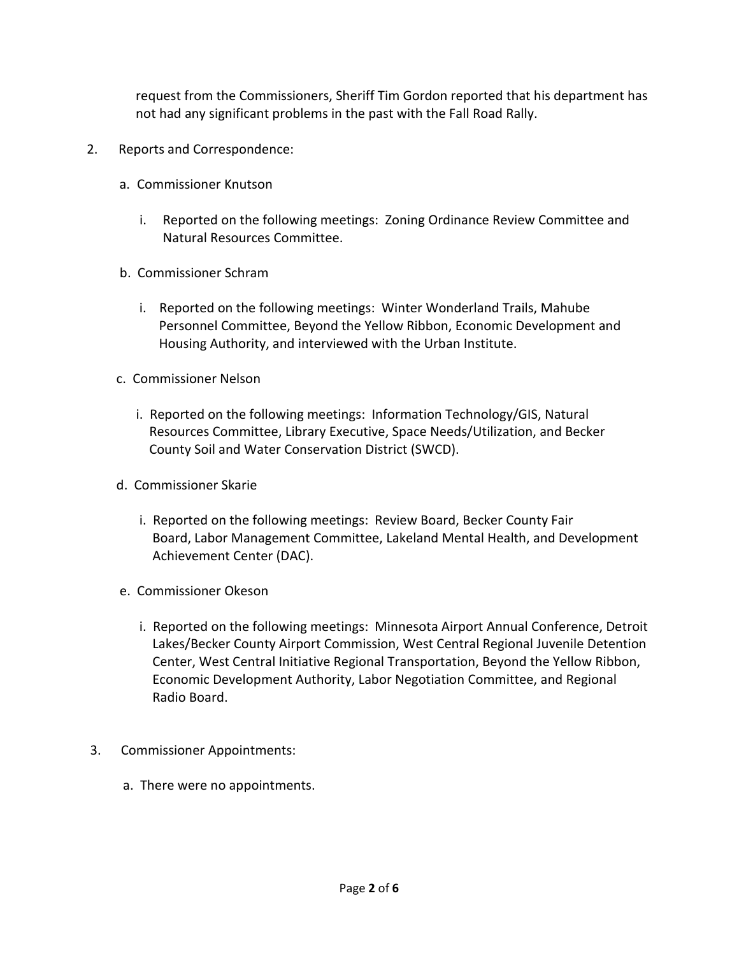request from the Commissioners, Sheriff Tim Gordon reported that his department has not had any significant problems in the past with the Fall Road Rally.

- 2. Reports and Correspondence:
	- a. Commissioner Knutson
		- i. Reported on the following meetings: Zoning Ordinance Review Committee and Natural Resources Committee.
	- b. Commissioner Schram
		- i. Reported on the following meetings: Winter Wonderland Trails, Mahube Personnel Committee, Beyond the Yellow Ribbon, Economic Development and Housing Authority, and interviewed with the Urban Institute.
	- c. Commissioner Nelson
		- i. Reported on the following meetings: Information Technology/GIS, Natural Resources Committee, Library Executive, Space Needs/Utilization, and Becker County Soil and Water Conservation District (SWCD).
	- d. Commissioner Skarie
		- i. Reported on the following meetings: Review Board, Becker County Fair Board, Labor Management Committee, Lakeland Mental Health, and Development Achievement Center (DAC).
	- e. Commissioner Okeson
		- i. Reported on the following meetings: Minnesota Airport Annual Conference, Detroit Lakes/Becker County Airport Commission, West Central Regional Juvenile Detention Center, West Central Initiative Regional Transportation, Beyond the Yellow Ribbon, Economic Development Authority, Labor Negotiation Committee, and Regional Radio Board.
- 3. Commissioner Appointments:
	- a. There were no appointments.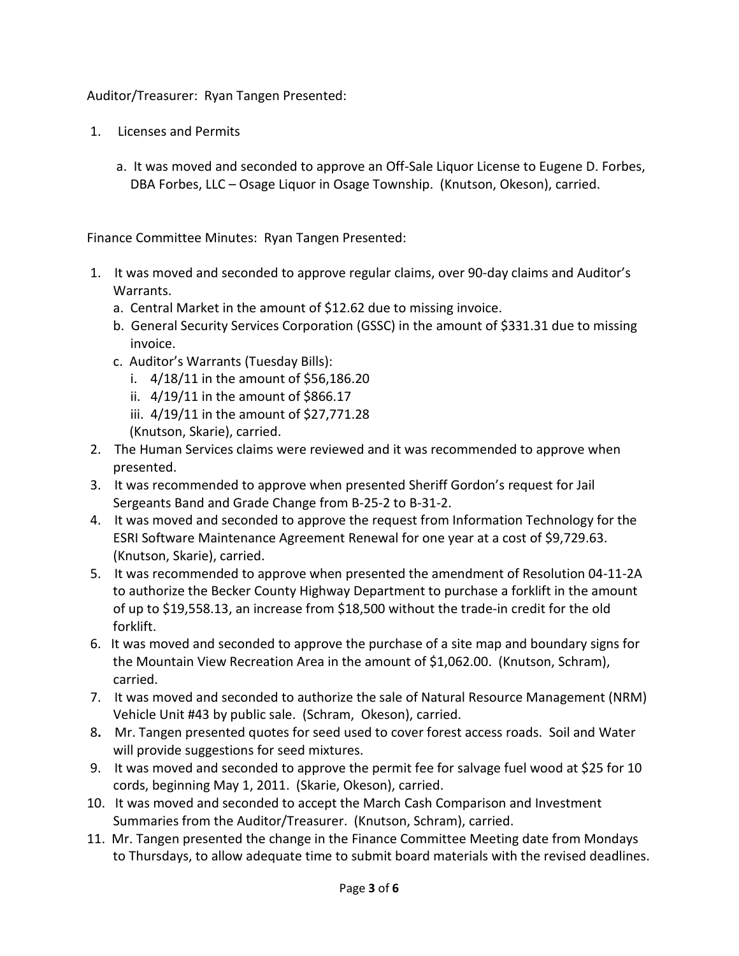Auditor/Treasurer: Ryan Tangen Presented:

- 1. Licenses and Permits
	- a. It was moved and seconded to approve an Off-Sale Liquor License to Eugene D. Forbes, DBA Forbes, LLC – Osage Liquor in Osage Township. (Knutson, Okeson), carried.

Finance Committee Minutes: Ryan Tangen Presented:

- 1. It was moved and seconded to approve regular claims, over 90-day claims and Auditor's Warrants.
	- a. Central Market in the amount of \$12.62 due to missing invoice.
	- b. General Security Services Corporation (GSSC) in the amount of \$331.31 due to missing invoice.
	- c. Auditor's Warrants (Tuesday Bills):
		- i.  $4/18/11$  in the amount of \$56,186.20
		- ii. 4/19/11 in the amount of \$866.17
		- iii. 4/19/11 in the amount of \$27,771.28 (Knutson, Skarie), carried.
- 2. The Human Services claims were reviewed and it was recommended to approve when presented.
- 3. It was recommended to approve when presented Sheriff Gordon's request for Jail Sergeants Band and Grade Change from B-25-2 to B-31-2.
- 4. It was moved and seconded to approve the request from Information Technology for the ESRI Software Maintenance Agreement Renewal for one year at a cost of \$9,729.63. (Knutson, Skarie), carried.
- 5. It was recommended to approve when presented the amendment of Resolution 04-11-2A to authorize the Becker County Highway Department to purchase a forklift in the amount of up to \$19,558.13, an increase from \$18,500 without the trade-in credit for the old forklift.
- 6. It was moved and seconded to approve the purchase of a site map and boundary signs for the Mountain View Recreation Area in the amount of \$1,062.00. (Knutson, Schram), carried.
- 7. It was moved and seconded to authorize the sale of Natural Resource Management (NRM) Vehicle Unit #43 by public sale. (Schram, Okeson), carried.
- 8**.** Mr. Tangen presented quotes for seed used to cover forest access roads. Soil and Water will provide suggestions for seed mixtures.
- 9. It was moved and seconded to approve the permit fee for salvage fuel wood at \$25 for 10 cords, beginning May 1, 2011. (Skarie, Okeson), carried.
- 10. It was moved and seconded to accept the March Cash Comparison and Investment Summaries from the Auditor/Treasurer. (Knutson, Schram), carried.
- 11. Mr. Tangen presented the change in the Finance Committee Meeting date from Mondays to Thursdays, to allow adequate time to submit board materials with the revised deadlines.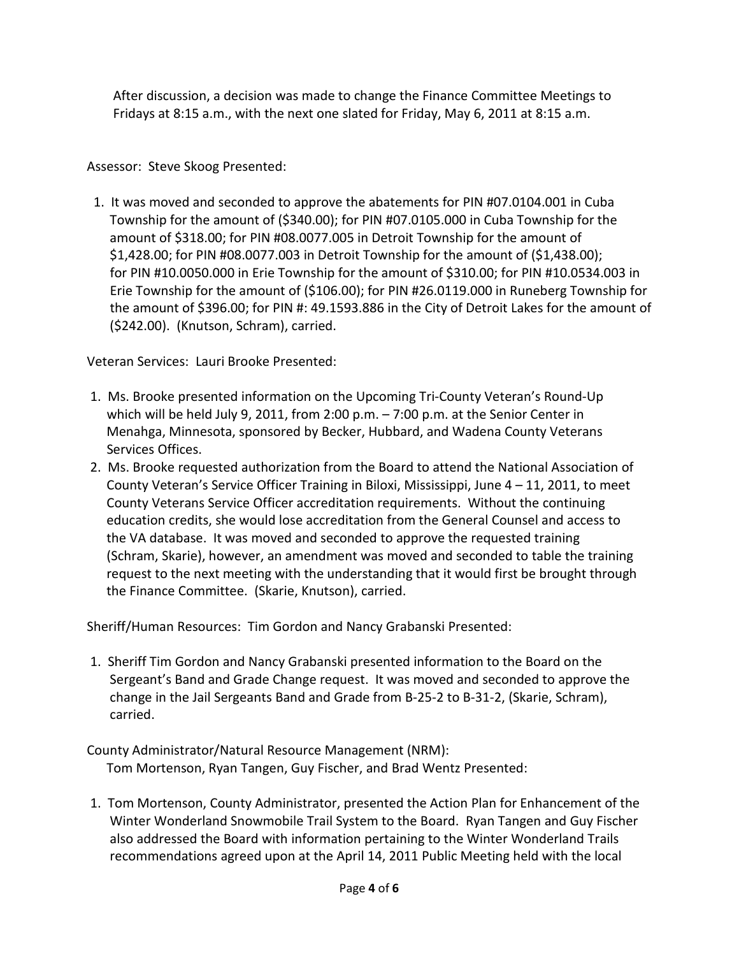After discussion, a decision was made to change the Finance Committee Meetings to Fridays at 8:15 a.m., with the next one slated for Friday, May 6, 2011 at 8:15 a.m.

## Assessor: Steve Skoog Presented:

 1. It was moved and seconded to approve the abatements for PIN #07.0104.001 in Cuba Township for the amount of (\$340.00); for PIN #07.0105.000 in Cuba Township for the amount of \$318.00; for PIN #08.0077.005 in Detroit Township for the amount of \$1,428.00; for PIN #08.0077.003 in Detroit Township for the amount of (\$1,438.00); for PIN #10.0050.000 in Erie Township for the amount of \$310.00; for PIN #10.0534.003 in Erie Township for the amount of (\$106.00); for PIN #26.0119.000 in Runeberg Township for the amount of \$396.00; for PIN #: 49.1593.886 in the City of Detroit Lakes for the amount of (\$242.00). (Knutson, Schram), carried.

Veteran Services: Lauri Brooke Presented:

- 1. Ms. Brooke presented information on the Upcoming Tri-County Veteran's Round-Up which will be held July 9, 2011, from 2:00 p.m. – 7:00 p.m. at the Senior Center in Menahga, Minnesota, sponsored by Becker, Hubbard, and Wadena County Veterans Services Offices.
- 2. Ms. Brooke requested authorization from the Board to attend the National Association of County Veteran's Service Officer Training in Biloxi, Mississippi, June 4 – 11, 2011, to meet County Veterans Service Officer accreditation requirements. Without the continuing education credits, she would lose accreditation from the General Counsel and access to the VA database. It was moved and seconded to approve the requested training (Schram, Skarie), however, an amendment was moved and seconded to table the training request to the next meeting with the understanding that it would first be brought through the Finance Committee. (Skarie, Knutson), carried.

Sheriff/Human Resources: Tim Gordon and Nancy Grabanski Presented:

1. Sheriff Tim Gordon and Nancy Grabanski presented information to the Board on the Sergeant's Band and Grade Change request. It was moved and seconded to approve the change in the Jail Sergeants Band and Grade from B-25-2 to B-31-2, (Skarie, Schram), carried.

County Administrator/Natural Resource Management (NRM): Tom Mortenson, Ryan Tangen, Guy Fischer, and Brad Wentz Presented:

1. Tom Mortenson, County Administrator, presented the Action Plan for Enhancement of the Winter Wonderland Snowmobile Trail System to the Board. Ryan Tangen and Guy Fischer also addressed the Board with information pertaining to the Winter Wonderland Trails recommendations agreed upon at the April 14, 2011 Public Meeting held with the local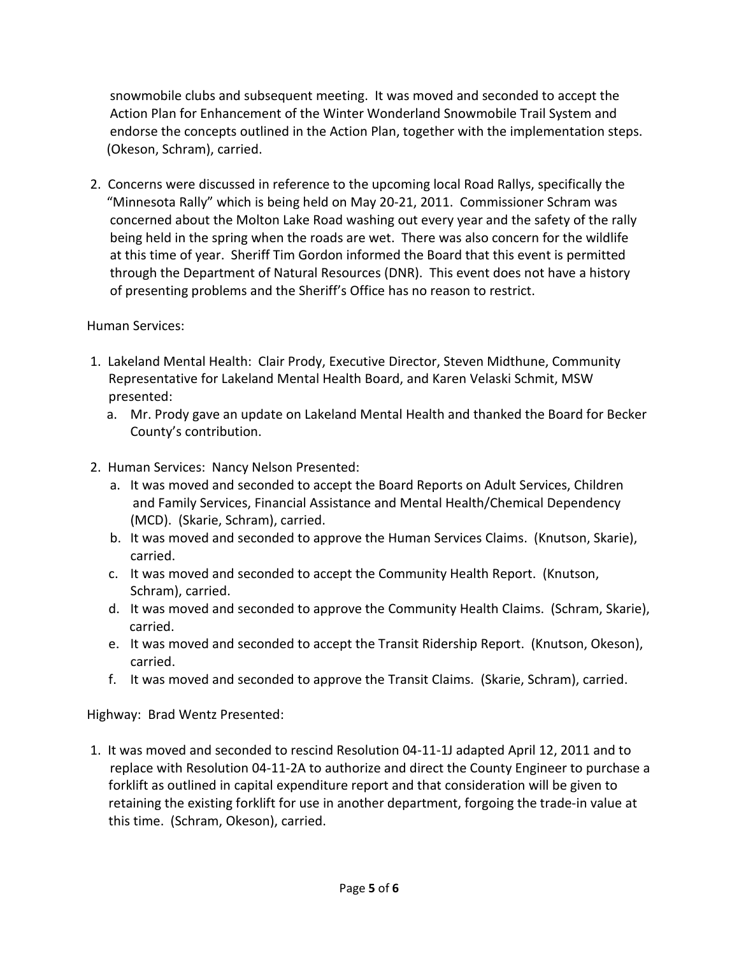snowmobile clubs and subsequent meeting. It was moved and seconded to accept the Action Plan for Enhancement of the Winter Wonderland Snowmobile Trail System and endorse the concepts outlined in the Action Plan, together with the implementation steps. (Okeson, Schram), carried.

2. Concerns were discussed in reference to the upcoming local Road Rallys, specifically the "Minnesota Rally" which is being held on May 20-21, 2011. Commissioner Schram was concerned about the Molton Lake Road washing out every year and the safety of the rally being held in the spring when the roads are wet. There was also concern for the wildlife at this time of year. Sheriff Tim Gordon informed the Board that this event is permitted through the Department of Natural Resources (DNR). This event does not have a history of presenting problems and the Sheriff's Office has no reason to restrict.

## Human Services:

- 1. Lakeland Mental Health: Clair Prody, Executive Director, Steven Midthune, Community Representative for Lakeland Mental Health Board, and Karen Velaski Schmit, MSW presented:
	- a. Mr. Prody gave an update on Lakeland Mental Health and thanked the Board for Becker County's contribution.
- 2. Human Services: Nancy Nelson Presented:
	- a. It was moved and seconded to accept the Board Reports on Adult Services, Children and Family Services, Financial Assistance and Mental Health/Chemical Dependency (MCD). (Skarie, Schram), carried.
	- b. It was moved and seconded to approve the Human Services Claims. (Knutson, Skarie), carried.
	- c. It was moved and seconded to accept the Community Health Report. (Knutson, Schram), carried.
	- d. It was moved and seconded to approve the Community Health Claims. (Schram, Skarie), carried.
	- e. It was moved and seconded to accept the Transit Ridership Report. (Knutson, Okeson), carried.
	- f. It was moved and seconded to approve the Transit Claims. (Skarie, Schram), carried.

Highway: Brad Wentz Presented:

1. It was moved and seconded to rescind Resolution 04-11-1J adapted April 12, 2011 and to replace with Resolution 04-11-2A to authorize and direct the County Engineer to purchase a forklift as outlined in capital expenditure report and that consideration will be given to retaining the existing forklift for use in another department, forgoing the trade-in value at this time. (Schram, Okeson), carried.